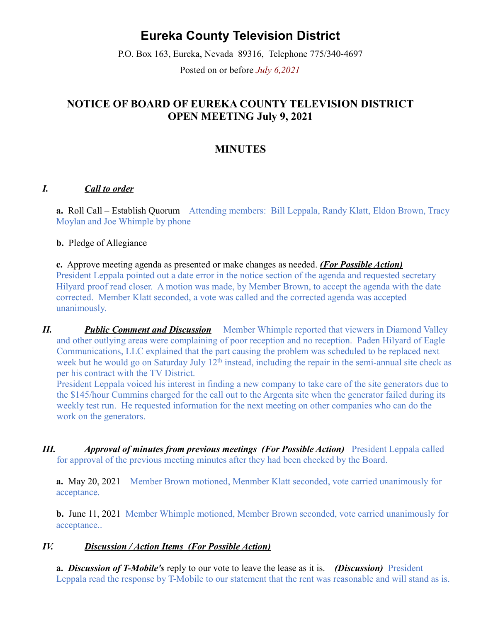# **Eureka County Television District**

P.O. Box 163, Eureka, Nevada 89316, Telephone 775/340-4697 Posted on or before *July 6,2021*

## **NOTICE OF BOARD OF EUREKA COUNTY TELEVISION DISTRICT OPEN MEETING July 9, 2021**

### **MINUTES**

#### *I. Call to order*

**a.** Roll Call – Establish Quorum Attending members: Bill Leppala, Randy Klatt, Eldon Brown, Tracy Moylan and Joe Whimple by phone

**b.** Pledge of Allegiance

**c.** Approve meeting agenda as presented or make changes as needed. *(For Possible Action)* President Leppala pointed out a date error in the notice section of the agenda and requested secretary Hilyard proof read closer. A motion was made, by Member Brown, to accept the agenda with the date corrected. Member Klatt seconded, a vote was called and the corrected agenda was accepted unanimously.

*II. Public Comment and Discussion* Member Whimple reported that viewers in Diamond Valley and other outlying areas were complaining of poor reception and no reception. Paden Hilyard of Eagle Communications, LLC explained that the part causing the problem was scheduled to be replaced next week but he would go on Saturday July 12<sup>th</sup> instead, including the repair in the semi-annual site check as per his contract with the TV District.

President Leppala voiced his interest in finding a new company to take care of the site generators due to the \$145/hour Cummins charged for the call out to the Argenta site when the generator failed during its weekly test run. He requested information for the next meeting on other companies who can do the work on the generators.

*III. Approval of minutes from previous meetings (For Possible Action)* President Leppala called for approval of the previous meeting minutes after they had been checked by the Board.

**a.** May 20, 2021 Member Brown motioned, Menmber Klatt seconded, vote carried unanimously for acceptance.

**b.** June 11, 2021 Member Whimple motioned, Member Brown seconded, vote carried unanimously for acceptance..

#### *IV. Discussion / Action Items (For Possible Action)*

**a.** *Discussion of T-Mobile's* reply to our vote to leave the lease as it is. *(Discussion)* President Leppala read the response by T-Mobile to our statement that the rent was reasonable and will stand as is.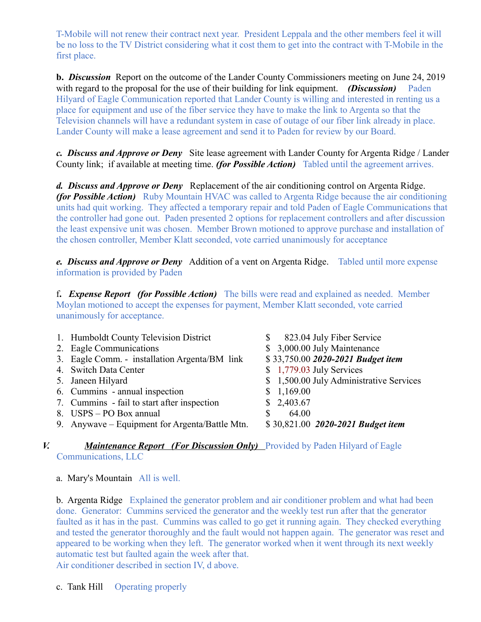T-Mobile will not renew their contract next year. President Leppala and the other members feel it will be no loss to the TV District considering what it cost them to get into the contract with T-Mobile in the first place.

**b.** *Discussion* Report on the outcome of the Lander County Commissioners meeting on June 24, 2019 with regard to the proposal for the use of their building for link equipment. *(Discussion)* Paden Hilyard of Eagle Communication reported that Lander County is willing and interested in renting us a place for equipment and use of the fiber service they have to make the link to Argenta so that the Television channels will have a redundant system in case of outage of our fiber link already in place. Lander County will make a lease agreement and send it to Paden for review by our Board.

*c. Discuss and Approve or Deny* Site lease agreement with Lander County for Argenta Ridge / Lander County link; if available at meeting time. *(for Possible Action)* Tabled until the agreement arrives.

*d. Discuss and Approve or Deny* Replacement of the air conditioning control on Argenta Ridge. *(for Possible Action)* Ruby Mountain HVAC was called to Argenta Ridge because the air conditioning units had quit working. They affected a temporary repair and told Paden of Eagle Communications that the controller had gone out. Paden presented 2 options for replacement controllers and after discussion the least expensive unit was chosen. Member Brown motioned to approve purchase and installation of the chosen controller, Member Klatt seconded, vote carried unanimously for acceptance

*e. Discuss and Approve or Deny* Addition of a vent on Argenta Ridge. Tabled until more expense information is provided by Paden

f**.** *Expense Report (for Possible Action)* The bills were read and explained as needed. Member Moylan motioned to accept the expenses for payment, Member Klatt seconded, vote carried unanimously for acceptance.

| 1. Humboldt County Television District         | 823.04 July Fiber Service<br>\$          |
|------------------------------------------------|------------------------------------------|
| 2. Eagle Communications                        | \$ 3,000.00 July Maintenance             |
| 3. Eagle Comm. - installation Argenta/BM link  | \$33,750.00 2020-2021 Budget item        |
| 4. Switch Data Center                          | $$1,779.03$ July Services                |
| 5. Janeen Hilyard                              | \$ 1,500.00 July Administrative Services |
| 6. Cummins - annual inspection                 | \$1,169.00                               |
| 7. Cummins - fail to start after inspection    | \$2,403.67                               |
| 8. USPS – PO Box annual                        | 64.00<br>S.                              |
| 9. Anywave – Equipment for Argenta/Battle Mtn. | \$30,821.00 2020-2021 Budget item        |
|                                                |                                          |

#### *V. Maintenance Report (For Discussion Only)* Provided by Paden Hilyard of Eagle Communications, LLC

a. Mary's Mountain All is well.

b. Argenta Ridge Explained the generator problem and air conditioner problem and what had been done. Generator: Cummins serviced the generator and the weekly test run after that the generator faulted as it has in the past. Cummins was called to go get it running again. They checked everything and tested the generator thoroughly and the fault would not happen again. The generator was reset and appeared to be working when they left. The generator worked when it went through its next weekly automatic test but faulted again the week after that.

Air conditioner described in section IV, d above.

c. Tank Hill Operating properly